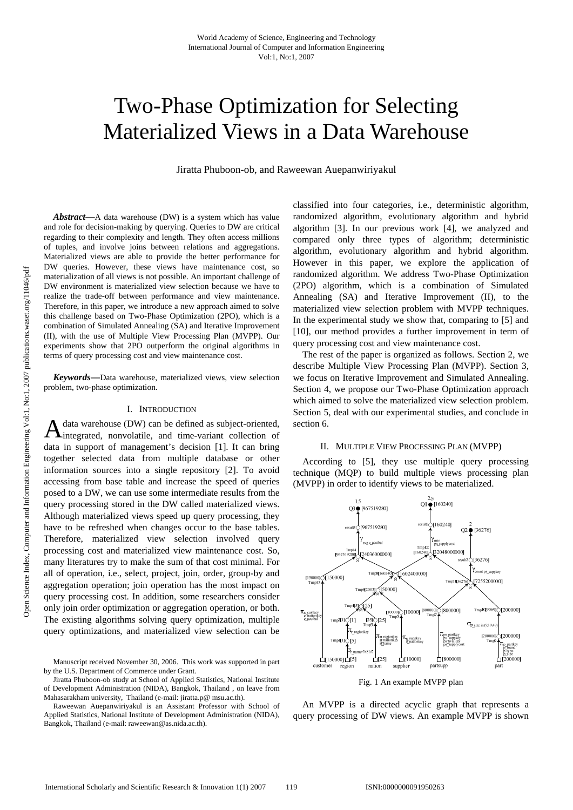# Two-Phase Optimization for Selecting Materialized Views in a Data Warehouse

Jiratta Phuboon-ob, and Raweewan Auepanwiriyakul

*Abstract***—**A data warehouse (DW) is a system which has value and role for decision-making by querying. Queries to DW are critical regarding to their complexity and length. They often access millions of tuples, and involve joins between relations and aggregations. Materialized views are able to provide the better performance for DW queries. However, these views have maintenance cost, so materialization of all views is not possible. An important challenge of DW environment is materialized view selection because we have to realize the trade-off between performance and view maintenance. Therefore, in this paper, we introduce a new approach aimed to solve this challenge based on Two-Phase Optimization (2PO), which is a combination of Simulated Annealing (SA) and Iterative Improvement (II), with the use of Multiple View Processing Plan (MVPP). Our experiments show that 2PO outperform the original algorithms in terms of query processing cost and view maintenance cost.

*Keywords***—**Data warehouse, materialized views, view selection problem, two-phase optimization.

#### I. INTRODUCTION

data warehouse (DW) can be defined as subject-oriented,  $\mathbf{\Lambda}$  data warehouse (DW) can be defined as subject-oriented, integrated, nonvolatile, and time-variant collection of data in support of management's decision [1]. It can bring together selected data from multiple database or other information sources into a single repository [2]. To avoid accessing from base table and increase the speed of queries posed to a DW, we can use some intermediate results from the query processing stored in the DW called materialized views. Although materialized views speed up query processing, they have to be refreshed when changes occur to the base tables. Therefore, materialized view selection involved query processing cost and materialized view maintenance cost. So, many literatures try to make the sum of that cost minimal. For all of operation, i.e., select, project, join, order, group-by and aggregation operation; join operation has the most impact on query processing cost. In addition, some researchers consider only join order optimization or aggregation operation, or both. The existing algorithms solving query optimization, multiple query optimizations, and materialized view selection can be

Manuscript received November 30, 2006. This work was supported in part by the U.S. Department of Commerce under Grant.

Jiratta Phuboon-ob study at School of Applied Statistics, National Institute of Development Administration (NIDA), Bangkok, Thailand , on leave from Mahasarakham university, Thailand (e-mail: jiratta.p@ msu.ac.th).

Raweewan Auepanwiriyakul is an Assistant Professor with School of Applied Statistics, National Institute of Development Administration (NIDA), Bangkok, Thailand (e-mail: raweewan@as.nida.ac.th).

classified into four categories, i.e., deterministic algorithm, randomized algorithm, evolutionary algorithm and hybrid algorithm [3]. In our previous work [4], we analyzed and compared only three types of algorithm; deterministic algorithm, evolutionary algorithm and hybrid algorithm. However in this paper, we explore the application of randomized algorithm. We address Two-Phase Optimization (2PO) algorithm, which is a combination of Simulated Annealing (SA) and Iterative Improvement (II), to the materialized view selection problem with MVPP techniques. In the experimental study we show that, comparing to [5] and [10], our method provides a further improvement in term of query processing cost and view maintenance cost.

The rest of the paper is organized as follows. Section 2, we describe Multiple View Processing Plan (MVPP). Section 3, we focus on Iterative Improvement and Simulated Annealing. Section 4, we propose our Two-Phase Optimization approach which aimed to solve the materialized view selection problem. Section 5, deal with our experimental studies, and conclude in section 6.

## II. MULTIPLE VIEW PROCESSING PLAN (MVPP)

According to [5], they use multiple query processing technique (MQP) to build multiple views processing plan (MVPP) in order to identify views to be materialized.



Fig. 1 An example MVPP plan

An MVPP is a directed acyclic graph that represents a query processing of DW views. An example MVPP is shown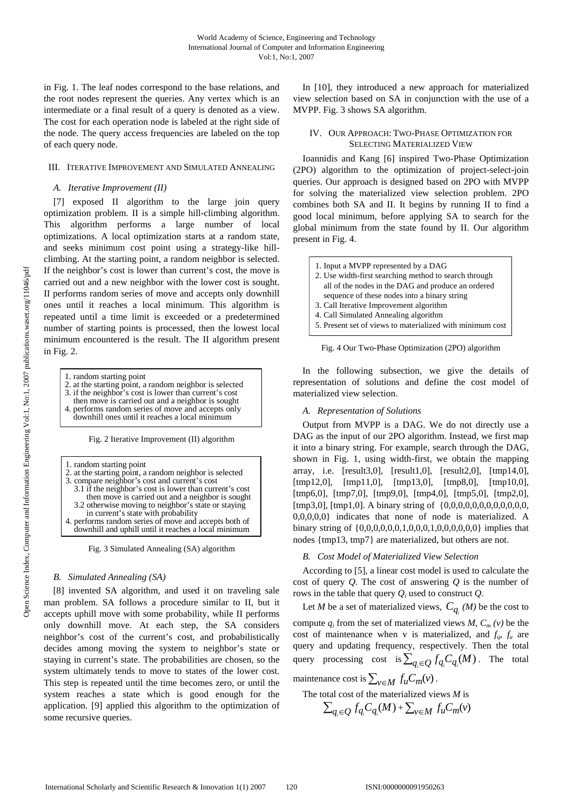in Fig. 1. The leaf nodes correspond to the base relations, and the root nodes represent the queries. Any vertex which is an intermediate or a final result of a query is denoted as a view. The cost for each operation node is labeled at the right side of the node. The query access frequencies are labeled on the top of each query node.

## III. ITERATIVE IMPROVEMENT AND SIMULATED ANNEALING

### *A. Iterative Improvement (II)*

[7] exposed II algorithm to the large join query optimization problem. II is a simple hill-climbing algorithm. This algorithm performs a large number of local optimizations. A local optimization starts at a random state, and seeks minimum cost point using a strategy-like hillclimbing. At the starting point, a random neighbor is selected. If the neighbor's cost is lower than current's cost, the move is carried out and a new neighbor with the lower cost is sought. II performs random series of move and accepts only downhill ones until it reaches a local minimum. This algorithm is repeated until a time limit is exceeded or a predetermined number of starting points is processed, then the lowest local minimum encountered is the result. The II algorithm present in Fig. 2.

|  |  | 1. random starting point |  |
|--|--|--------------------------|--|
|--|--|--------------------------|--|

- 2. at the starting point, a random neighbor is selected
- 3. if the neighbor's cost is lower than current's cost
- then move is carried out and a neighbor is sought performs random series of move and accepts only
- downhill ones until it reaches a local minimum

Fig. 2 Iterative Improvement (II) algorithm

| 1. random starting point                                |
|---------------------------------------------------------|
| 2. at the starting point, a random neighbor is selected |
| 3. compare neighbor's cost and current's cost           |
| 3.1 if the neighbor's cost is lower than current's cost |
| then move is carried out and a neighbor is sought       |
| 3.2 otherwise moving to neighbor's state or staying     |
| in current's state with probability                     |
| 4. performs random series of move and accepts both of   |
| downhill and uphill until it reaches a local minimum    |
|                                                         |

Fig. 3 Simulated Annealing (SA) algorithm

#### *B. Simulated Annealing (SA)*

[8] invented SA algorithm, and used it on traveling sale man problem. SA follows a procedure similar to II, but it accepts uphill move with some probability, while II performs only downhill move. At each step, the SA considers neighbor's cost of the current's cost, and probabilistically decides among moving the system to neighbor's state or staying in current's state. The probabilities are chosen, so the system ultimately tends to move to states of the lower cost. This step is repeated until the time becomes zero, or until the system reaches a state which is good enough for the application. [9] applied this algorithm to the optimization of some recursive queries.

In [10], they introduced a new approach for materialized view selection based on SA in conjunction with the use of a MVPP. Fig. 3 shows SA algorithm.

## IV. OUR APPROACH: TWO-PHASE OPTIMIZATION FOR SELECTING MATERIALIZED VIEW

Ioannidis and Kang [6] inspired Two-Phase Optimization (2PO) algorithm to the optimization of project-select-join queries. Our approach is designed based on 2PO with MVPP for solving the materialized view selection problem. 2PO combines both SA and II. It begins by running II to find a good local minimum, before applying SA to search for the global minimum from the state found by II. Our algorithm present in Fig. 4.

- 1. Input a MVPP represented by a DAG
- 2. Use width-first searching method to search through all of the nodes in the DAG and produce an ordered
- sequence of these nodes into a binary string 3. Call Iterative Improvement algorithm
- 4. Call Simulated Annealing algorithm
- 5. Present set of views to materialized with minimum cost

| Fig. 4 Our Two-Phase Optimization (2PO) algorithm |  |  |
|---------------------------------------------------|--|--|
|                                                   |  |  |

In the following subsection, we give the details of representation of solutions and define the cost model of materialized view selection.

#### *A. Representation of Solutions*

Output from MVPP is a DAG. We do not directly use a DAG as the input of our 2PO algorithm. Instead, we first map it into a binary string. For example, search through the DAG, shown in Fig. 1, using width-first, we obtain the mapping array, i.e. [result3,0], [result1,0], [result2,0], [tmp14,0], [tmp12,0], [tmp11,0], [tmp13,0], [tmp8,0], [tmp10,0], [tmp6,0], [tmp7,0], [tmp9,0], [tmp4,0], [tmp5,0], [tmp2,0], [tmp3,0], [tmp1,0]. A binary string of {0,0,0,0,0,0,0,0,0,0,0,0, 0,0,0,0,0} indicates that none of node is materialized. A binary string of {0,0,0,0,0,0,1,0,0,0,1,0,0,0,0,0,0} implies that nodes {tmp13, tmp7} are materialized, but others are not.

## *B. Cost Model of Materialized View Selection*

According to [5], a linear cost model is used to calculate the cost of query *Q*. The cost of answering *Q* is the number of rows in the table that query *Qi* used to construct *Q*.

Let *M* be a set of materialized views,  $C_{q_i}(M)$  be the cost to compute  $q_i$  from the set of materialized views *M*,  $C_m(v)$  be the cost of maintenance when v is materialized, and  $f_q$ ,  $f_u$  are query and updating frequency, respectively. Then the total query processing cost is  $\sum_{a \in O} f_{q} C_{q} (M)$ . The total

maintenance cost is  $\sum_{v \in M} f_u C_m(v)$ .

The total cost of the materialized views *M* is

$$
\sum_{q_i \in Q} f_{q_i} C_{q_i}(M) + \sum_{v \in M} f_u C_m(v)
$$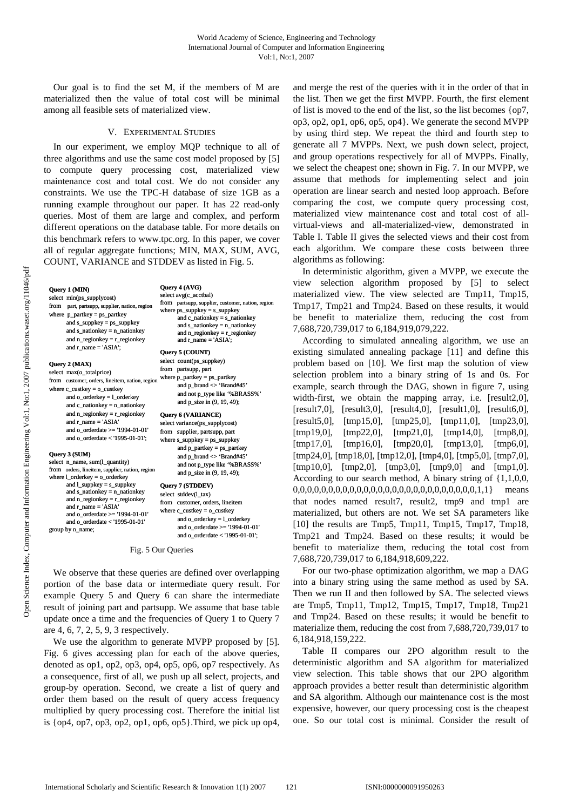Our goal is to find the set M, if the members of M are materialized then the value of total cost will be minimal among all feasible sets of materialized view.

### V. EXPERIMENTAL STUDIES

In our experiment, we employ MQP technique to all of three algorithms and use the same cost model proposed by [5] to compute query processing cost, materialized view maintenance cost and total cost. We do not consider any constraints. We use the TPC-H database of size 1GB as a running example throughout our paper. It has 22 read-only queries. Most of them are large and complex, and perform different operations on the database table. For more details on this benchmark refers to www.tpc.org. In this paper, we cover all of regular aggregate functions; MIN, MAX, SUM, AVG, COUNT, VARIANCE and STDDEV as listed in Fig. 5.

**Query 1 (MIN)** select min(ps\_supplycost) from part, partsupp, supplier, nation, where p\_partkey = ps\_partkey and s\_suppkey = ps\_suppkey and s\_nationkey =  $n$ \_nationkey and n\_regionkey = r\_regionk and r\_name = 'ASIA'; **Query 2 (MAX)** select max(o\_totalprice) from customer, orders, lineitem, natio where c\_custkey = o\_custkey and o\_orderkey =  $l$  orderkey and c\_nationkey = n\_nationkey and  $n$ \_regionkey =  $r$ \_regionk and  $r$  name = 'ASIA' and  $\overline{\text{o}}$  orderdate  $\ge$  = '1994-01' and  $o$ \_orderdate < '1995-01-0 **Query 3 (SUM)** select n\_name, sum(l\_quantity) from orders, lineitem, supplier, nation where l\_orderkey = o\_orderkey and l\_suppkey = s\_suppkey and s\_nationkey = n\_nationkey and  $n$ \_regionkey =  $r$ \_regionk and r\_name = 'ASIA' and  $o$ \_orderdate  $> = '1994-01$ and  $\alpha$  orderdate  $<$  '1995-01-0 group by n\_name;

|           | <b>Ouery 4 (AVG)</b>                              |  |  |  |
|-----------|---------------------------------------------------|--|--|--|
|           | select avg(c acctbal)                             |  |  |  |
| region    | from partsupp, supplier, customer, nation, region |  |  |  |
|           | where $ps\_suppkey = s\_suppkey$                  |  |  |  |
|           | and c nationkey $=$ s nationkey                   |  |  |  |
|           | and $s$ _nationkey = $n$ _nationkey               |  |  |  |
| ey        | and $n$ _regionkey = $r$ _regionkey               |  |  |  |
| ey        | and $r$ name = 'ASIA';                            |  |  |  |
|           | Query 5 (COUNT)                                   |  |  |  |
|           | select count(ps_suppkey)                          |  |  |  |
|           | from partsupp, part                               |  |  |  |
| n, region | where $p$ _partkey = $ps$ _partkey                |  |  |  |
|           | and $p_{\text{broad}} \ll $ 'Brand#45'            |  |  |  |
|           | and not p_type like '%BRASS%'                     |  |  |  |
| ey        | and p_size in (9, 19, 49);                        |  |  |  |
| ey        | <b>Ouery 6 (VARIANCE)</b>                         |  |  |  |
|           | select variance(ps_supplycost)                    |  |  |  |
| $-01'$    | from supplier, partsupp, part                     |  |  |  |
| )1',      | where $s$ _suppkey = $ps$ _suppkey                |  |  |  |
|           | and p_partkey = ps_partkey                        |  |  |  |
|           | and p brand $\langle$ 'Brand#45'                  |  |  |  |
|           | and not p_type like '%BRASS%'                     |  |  |  |
| , region  | and p size in (9, 19, 49);                        |  |  |  |
|           | Query 7 (STDDEV)                                  |  |  |  |
| ey        | select stddev(1 tax)                              |  |  |  |
| ey        | from customer, orders, lineitem                   |  |  |  |
| $-01'$    | where c custkey = $o$ custkey                     |  |  |  |
| )1'       | and o orderkey $= 1$ orderkey                     |  |  |  |
|           | and o orderdate $>=$ '1994-01-01'                 |  |  |  |
|           | and o orderdate < '1995-01-01' <sup>.</sup>       |  |  |  |

Fig. 5 Our Queries

We observe that these queries are defined over overlapping portion of the base data or intermediate query result. For example Query 5 and Query 6 can share the intermediate result of joining part and partsupp. We assume that base table update once a time and the frequencies of Query 1 to Query 7 are 4, 6, 7, 2, 5, 9, 3 respectively.

We use the algorithm to generate MVPP proposed by [5]. Fig. 6 gives accessing plan for each of the above queries, denoted as op1, op2, op3, op4, op5, op6, op7 respectively. As a consequence, first of all, we push up all select, projects, and group-by operation. Second, we create a list of query and order them based on the result of query access frequency multiplied by query processing cost. Therefore the initial list is {op4, op7, op3, op2, op1, op6, op5}.Third, we pick up op4, and merge the rest of the queries with it in the order of that in the list. Then we get the first MVPP. Fourth, the first element of list is moved to the end of the list, so the list becomes {op7, op3, op2, op1, op6, op5, op4}. We generate the second MVPP by using third step. We repeat the third and fourth step to generate all 7 MVPPs. Next, we push down select, project, and group operations respectively for all of MVPPs. Finally, we select the cheapest one; shown in Fig. 7. In our MVPP, we assume that methods for implementing select and join operation are linear search and nested loop approach. Before comparing the cost, we compute query processing cost, materialized view maintenance cost and total cost of allvirtual-views and all-materialized-view, demonstrated in Table I. Table II gives the selected views and their cost from each algorithm. We compare these costs between three algorithms as following:

In deterministic algorithm, given a MVPP, we execute the view selection algorithm proposed by [5] to select materialized view. The view selected are Tmp11, Tmp15, Tmp17, Tmp21 and Tmp24. Based on these results, it would be benefit to materialize them, reducing the cost from 7,688,720,739,017 to 6,184,919,079,222.

According to simulated annealing algorithm, we use an existing simulated annealing package [11] and define this problem based on [10]. We first map the solution of view selection problem into a binary string of 1s and 0s. For example, search through the DAG, shown in figure 7, using width-first, we obtain the mapping array, i.e. [result2,0], [result7,0], [result3,0], [result4,0], [result1,0], [result6,0], [result5,0], [tmp15,0], [tmp25,0], [tmp11,0], [tmp23,0], [tmp19,0], [tmp22,0], [tmp21,0], [tmp14,0], [tmp8,0], [tmp17,0], [tmp16,0], [tmp20,0], [tmp13,0], [tmp6,0], [tmp24,0], [tmp18,0], [tmp12,0], [tmp4,0], [tmp5,0], [tmp7,0], [tmp10,0], [tmp2,0], [tmp3,0], [tmp9,0] and [tmp1,0]. According to our search method, A binary string of {1,1,0,0, 0,0,0,0,0,0,0,0,0,0,0,0,0,0,0,0,0,0,0,0,0,0,0,0,0,0,1,1} means that nodes named result7, result2, tmp9 and tmp1 are materialized, but others are not. We set SA parameters like [10] the results are Tmp5, Tmp11, Tmp15, Tmp17, Tmp18, Tmp21 and Tmp24. Based on these results; it would be benefit to materialize them, reducing the total cost from 7,688,720,739,017 to 6,184,918,609,222.

For our two-phase optimization algorithm, we map a DAG into a binary string using the same method as used by SA. Then we run II and then followed by SA. The selected views are Tmp5, Tmp11, Tmp12, Tmp15, Tmp17, Tmp18, Tmp21 and Tmp24. Based on these results; it would be benefit to materialize them, reducing the cost from 7,688,720,739,017 to 6,184,918,159,222.

Table II compares our 2PO algorithm result to the deterministic algorithm and SA algorithm for materialized view selection. This table shows that our 2PO algorithm approach provides a better result than deterministic algorithm and SA algorithm. Although our maintenance cost is the most expensive, however, our query processing cost is the cheapest one. So our total cost is minimal. Consider the result of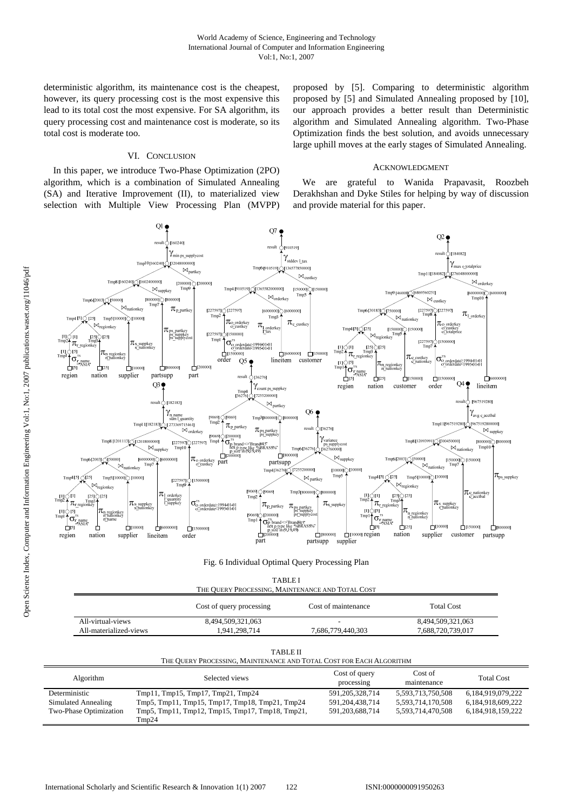deterministic algorithm, its maintenance cost is the cheapest, however, its query processing cost is the most expensive this lead to its total cost the most expensive. For SA algorithm, its query processing cost and maintenance cost is moderate, so its total cost is moderate too.

## VI. CONCLUSION

In this paper, we introduce Two-Phase Optimization (2PO) algorithm, which is a combination of Simulated Annealing (SA) and Iterative Improvement (II), to materialized view selection with Multiple View Processing Plan (MVPP) proposed by [5]. Comparing to deterministic algorithm proposed by [5] and Simulated Annealing proposed by [10], our approach provides a better result than Deterministic algorithm and Simulated Annealing algorithm. Two-Phase Optimization finds the best solution, and avoids unnecessary large uphill moves at the early stages of Simulated Annealing.

### ACKNOWLEDGMENT

We are grateful to Wanida Prapavasit, Roozbeh Derakhshan and Dyke Stiles for helping by way of discussion and provide material for this paper.



Fig. 6 Individual Optimal Query Processing Plan

| <b>TABLEI</b><br>THE QUERY PROCESSING, MAINTENANCE AND TOTAL COST |                          |                     |                   |  |
|-------------------------------------------------------------------|--------------------------|---------------------|-------------------|--|
|                                                                   | Cost of query processing | Cost of maintenance | <b>Total Cost</b> |  |

|                        | Cost of query processing | Cost of mannemance       | Tom Cost          |
|------------------------|--------------------------|--------------------------|-------------------|
| All-virtual-views      | 8,494,509,321,063        | $\overline{\phantom{0}}$ | 8,494,509,321,063 |
| All-materialized-views | . 941.298.714            | 7.686.779.440.303        | 7.688.720.739.017 |
|                        |                          |                          |                   |

| THE QUERY PROCESSING, MAINTENANCE AND TOTAL COST FOR EACH ALGORITHM |                                                 |                             |                        |                   |
|---------------------------------------------------------------------|-------------------------------------------------|-----------------------------|------------------------|-------------------|
| Algorithm                                                           | Selected views                                  | Cost of query<br>processing | Cost of<br>maintenance | <b>Total Cost</b> |
| Deterministic                                                       | Tmp11, Tmp15, Tmp17, Tmp21, Tmp24               | 591, 205, 328, 714          | 5,593,713,750,508      | 6,184,919,079,222 |
| Simulated Annealing                                                 | Tmp5, Tmp11, Tmp15, Tmp17, Tmp18, Tmp21, Tmp24  | 591, 204, 438, 714          | 5,593,714,170,508      | 6,184,918,609,222 |
| Two-Phase Optimization                                              | Tmp5, Tmp11, Tmp12, Tmp15, Tmp17, Tmp18, Tmp21, | 591.203.688.714             | 5.593.714.470.508      | 6.184.918.159.222 |
|                                                                     | Tmp24                                           |                             |                        |                   |